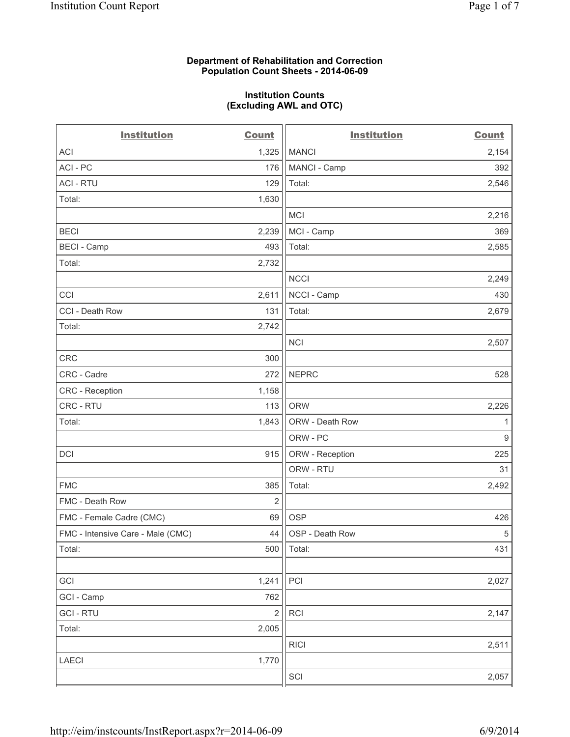## **Department of Rehabilitation and Correction Population Count Sheets - 2014-06-09**

#### **Institution Counts (Excluding AWL and OTC)**

| <b>Institution</b>                | <b>Count</b>            | <b>Institution</b> | <b>Count</b>   |
|-----------------------------------|-------------------------|--------------------|----------------|
| <b>ACI</b>                        | 1,325                   | <b>MANCI</b>       | 2,154          |
| ACI - PC                          | 176                     | MANCI - Camp       | 392            |
| <b>ACI - RTU</b>                  | 129                     | Total:             | 2,546          |
| Total:                            | 1,630                   |                    |                |
|                                   |                         | <b>MCI</b>         | 2,216          |
| <b>BECI</b>                       | 2,239                   | MCI - Camp         | 369            |
| <b>BECI - Camp</b>                | 493                     | Total:             | 2,585          |
| Total:                            | 2,732                   |                    |                |
|                                   |                         | <b>NCCI</b>        | 2,249          |
| CCI                               | 2,611                   | NCCI - Camp        | 430            |
| CCI - Death Row                   | 131                     | Total:             | 2,679          |
| Total:                            | 2,742                   |                    |                |
|                                   |                         | <b>NCI</b>         | 2,507          |
| <b>CRC</b>                        | 300                     |                    |                |
| CRC - Cadre                       | 272                     | <b>NEPRC</b>       | 528            |
| <b>CRC</b> - Reception            | 1,158                   |                    |                |
| CRC - RTU                         | 113                     | <b>ORW</b>         | 2,226          |
| Total:                            | 1,843                   | ORW - Death Row    | 1              |
|                                   |                         | ORW - PC           | $\overline{9}$ |
| <b>DCI</b>                        | 915                     | ORW - Reception    | 225            |
|                                   |                         | ORW - RTU          | 31             |
| <b>FMC</b>                        | 385                     | Total:             | 2,492          |
| FMC - Death Row                   | 2                       |                    |                |
| FMC - Female Cadre (CMC)          | 69                      | <b>OSP</b>         | 426            |
| FMC - Intensive Care - Male (CMC) | 44                      | OSP - Death Row    | $\sqrt{5}$     |
| Total:                            | 500                     | Total:             | 431            |
|                                   |                         |                    |                |
| GCI                               | 1,241                   | PCI                | 2,027          |
| GCI - Camp                        | 762                     |                    |                |
| <b>GCI-RTU</b>                    | $\overline{\mathbf{c}}$ | RCI                | 2,147          |
| Total:                            | 2,005                   |                    |                |
|                                   |                         | <b>RICI</b>        | 2,511          |
| LAECI                             | 1,770                   |                    |                |
|                                   |                         | SCI                | 2,057          |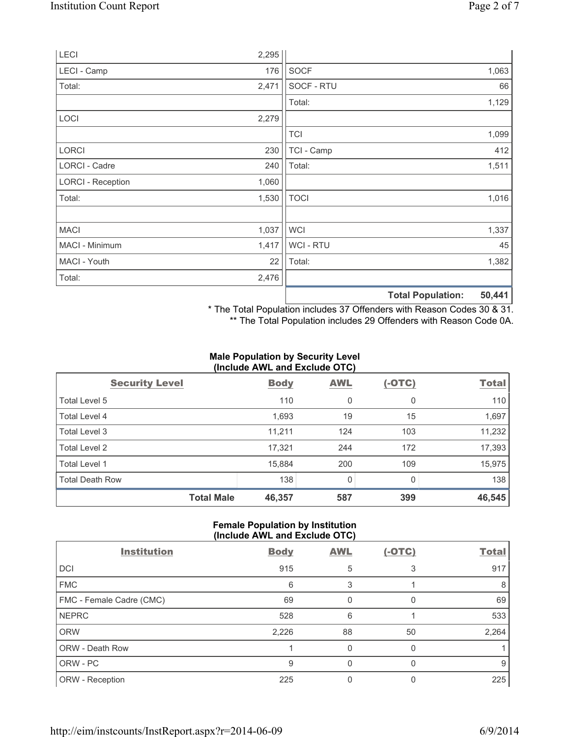| LECI                     | 2,295 |                |                          |        |
|--------------------------|-------|----------------|--------------------------|--------|
| LECI - Camp              | 176   | <b>SOCF</b>    |                          | 1,063  |
| Total:                   | 2,471 | SOCF - RTU     |                          | 66     |
|                          |       | Total:         |                          | 1,129  |
| LOCI                     | 2,279 |                |                          |        |
|                          |       | <b>TCI</b>     |                          | 1,099  |
| <b>LORCI</b>             | 230   | TCI - Camp     |                          | 412    |
| LORCI - Cadre            | 240   | Total:         |                          | 1,511  |
| <b>LORCI - Reception</b> | 1,060 |                |                          |        |
| Total:                   | 1,530 | <b>TOCI</b>    |                          | 1,016  |
|                          |       |                |                          |        |
| <b>MACI</b>              | 1,037 | <b>WCI</b>     |                          | 1,337  |
| MACI - Minimum           | 1,417 | <b>WCI-RTU</b> |                          | 45     |
| MACI - Youth             | 22    | Total:         |                          | 1,382  |
| Total:                   | 2,476 |                |                          |        |
|                          |       |                | <b>Total Population:</b> | 50,441 |

\* The Total Population includes 37 Offenders with Reason Codes 30 & 31.

\*\* The Total Population includes 29 Offenders with Reason Code 0A.

## **Male Population by Security Level (Include AWL and Exclude OTC)**

| $\frac{1}{2}$          |             |            |          |              |  |
|------------------------|-------------|------------|----------|--------------|--|
| <b>Security Level</b>  | <b>Body</b> | <b>AWL</b> | $(-OTC)$ | <b>Total</b> |  |
| Total Level 5          | 110         | 0          | 0        | 110          |  |
| Total Level 4          | 1,693       | 19         | 15       | 1,697        |  |
| Total Level 3          | 11,211      | 124        | 103      | 11,232       |  |
| Total Level 2          | 17,321      | 244        | 172      | 17,393       |  |
| <b>Total Level 1</b>   | 15,884      | 200        | 109      | 15,975       |  |
| <b>Total Death Row</b> | 138         | 0          | 0        | 138          |  |
| <b>Total Male</b>      | 46,357      | 587        | 399      | 46,545       |  |

# **Female Population by Institution (Include AWL and Exclude OTC)**

| <b>Institution</b>       | <b>Body</b> | <b>AWL</b> | $(-OTC)$ | <b>Total</b> |
|--------------------------|-------------|------------|----------|--------------|
| DCI                      | 915         | 5          |          | 917          |
| <b>FMC</b>               | 6           | 3          |          | 8            |
| FMC - Female Cadre (CMC) | 69          | 0          | 0        | 69           |
| <b>NEPRC</b>             | 528         | 6          |          | 533          |
| <b>ORW</b>               | 2,226       | 88         | 50       | 2,264        |
| ORW - Death Row          |             | 0          |          |              |
| ORW - PC                 | 9           |            | n        | 9            |
| ORW - Reception          | 225         |            |          | 225          |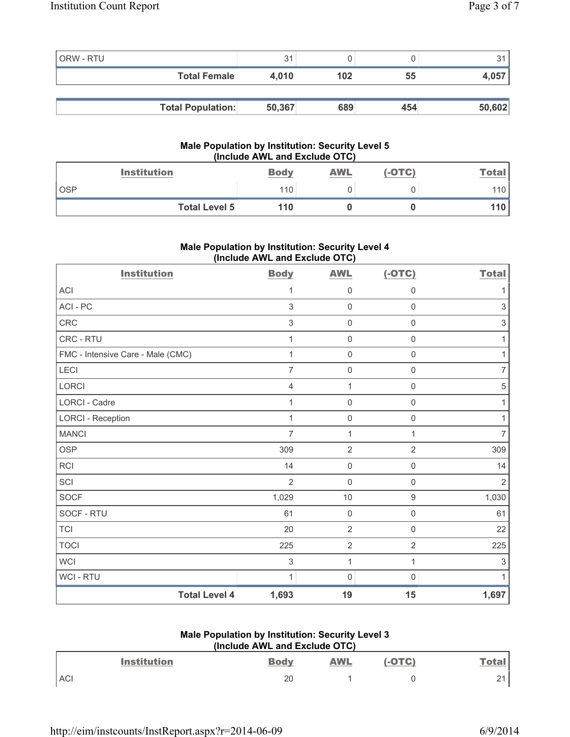| ORW - RTU |                          | 31     |     |     |        |
|-----------|--------------------------|--------|-----|-----|--------|
|           | <b>Total Female</b>      | 4.010  | 102 | 55  | 4,057  |
|           |                          |        |     |     |        |
|           | <b>Total Population:</b> | 50,367 | 689 | 454 | 50,602 |

#### **Male Population by Institution: Security Level 5 (Include AWL and Exclude OTC)**

| <b>Institution</b>   | <b>Body</b> | <b>AWL</b> | $(-OTC)$ | <b>Total</b> |
|----------------------|-------------|------------|----------|--------------|
| <b>OSP</b>           | 110         |            |          | 110          |
| <b>Total Level 5</b> | 110         |            |          | 110          |

# **Male Population by Institution: Security Level 4 (Include AWL and Exclude OTC)**

| <b>Institution</b>                | <b>Body</b>    | <b>AWL</b>          | $(-OTC)$            | <b>Total</b>              |
|-----------------------------------|----------------|---------------------|---------------------|---------------------------|
| <b>ACI</b>                        | 1              | $\mathsf{O}\xspace$ | 0                   | 1                         |
| ACI - PC                          | 3              | $\mathbf 0$         | 0                   | 3                         |
| CRC                               | $\sqrt{3}$     | $\mathbf 0$         | $\mathsf{O}\xspace$ | $\sqrt{3}$                |
| CRC - RTU                         | 1              | $\mathsf{O}\xspace$ | $\mathsf{O}\xspace$ | 1                         |
| FMC - Intensive Care - Male (CMC) | 1              | $\mathbf 0$         | $\mathsf{O}\xspace$ | $\mathbf{1}$              |
| LECI                              | 7              | $\mathbf 0$         | 0                   | $\overline{7}$            |
| <b>LORCI</b>                      | 4              | $\mathbf{1}$        | 0                   | $\sqrt{5}$                |
| <b>LORCI - Cadre</b>              | 1              | $\mathsf{O}\xspace$ | 0                   | 1                         |
| <b>LORCI - Reception</b>          | 1              | $\mathbf 0$         | $\mathsf 0$         | 1                         |
| <b>MANCI</b>                      | 7              | $\mathbf{1}$        | 1                   | $\overline{7}$            |
| <b>OSP</b>                        | 309            | $\overline{2}$      | $\overline{2}$      | 309                       |
| <b>RCI</b>                        | 14             | $\mathsf{O}\xspace$ | 0                   | 14                        |
| SCI                               | $\overline{2}$ | $\mathbf 0$         | $\mathsf{O}\xspace$ | $\overline{2}$            |
| <b>SOCF</b>                       | 1,029          | 10                  | $\boldsymbol{9}$    | 1,030                     |
| SOCF - RTU                        | 61             | $\mathbf 0$         | 0                   | 61                        |
| <b>TCI</b>                        | 20             | $\overline{2}$      | $\mathsf 0$         | 22                        |
| <b>TOCI</b>                       | 225            | $\overline{2}$      | $\overline{2}$      | 225                       |
| <b>WCI</b>                        | $\sqrt{3}$     | 1                   | 1                   | $\ensuremath{\mathsf{3}}$ |
| WCI - RTU                         | 1              | $\mathbf 0$         | $\Omega$            | 1                         |
| <b>Total Level 4</b>              | 1,693          | 19                  | 15                  | 1,697                     |

# **Male Population by Institution: Security Level 3 (Include AWL and Exclude OTC)**

|            | <b>Institution</b> | <b>Body</b> | <b>AWL</b> | $(-OTC)$ | Tota        |
|------------|--------------------|-------------|------------|----------|-------------|
| <b>ACI</b> |                    | 20          |            |          | $\sim$<br>∸ |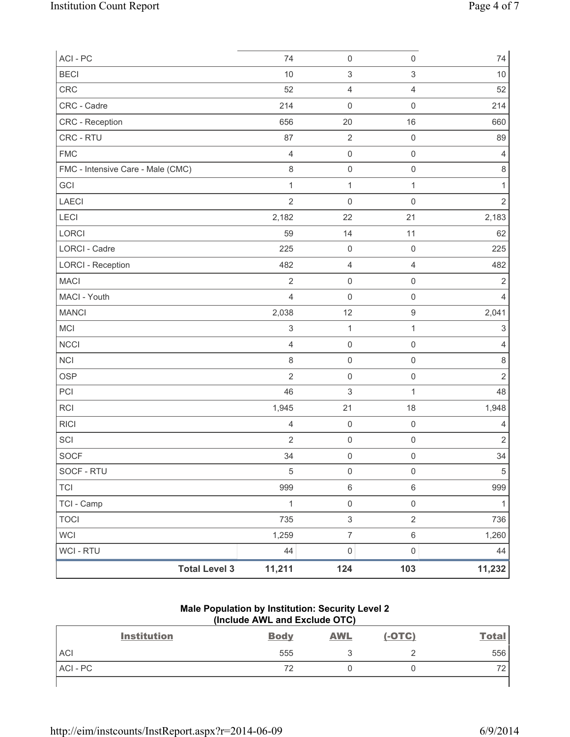| ACI - PC                          | 74                        | $\mathsf 0$               | $\mathsf{O}\xspace$       | 74                        |
|-----------------------------------|---------------------------|---------------------------|---------------------------|---------------------------|
| <b>BECI</b>                       | 10                        | $\ensuremath{\mathsf{3}}$ | $\ensuremath{\mathsf{3}}$ | 10                        |
| CRC                               | 52                        | $\overline{4}$            | $\overline{4}$            | 52                        |
| CRC - Cadre                       | 214                       | $\mathsf 0$               | $\mathsf 0$               | 214                       |
| CRC - Reception                   | 656                       | 20                        | 16                        | 660                       |
| CRC - RTU                         | 87                        | $\sqrt{2}$                | $\mathsf{O}\xspace$       | 89                        |
| <b>FMC</b>                        | $\overline{4}$            | $\mathsf 0$               | $\mathsf{O}\xspace$       | $\overline{4}$            |
| FMC - Intensive Care - Male (CMC) | $\,8\,$                   | $\mathsf{O}\xspace$       | $\mathsf{O}\xspace$       | $\,8\,$                   |
| GCI                               | $\mathbf{1}$              | $\mathbf{1}$              | $\mathbf{1}$              | $\mathbf{1}$              |
| LAECI                             | $\overline{2}$            | $\mathsf{O}\xspace$       | $\mathsf{O}\xspace$       | $\overline{2}$            |
| <b>LECI</b>                       | 2,182                     | 22                        | 21                        | 2,183                     |
| LORCI                             | 59                        | 14                        | 11                        | 62                        |
| LORCI - Cadre                     | 225                       | $\mathsf{O}\xspace$       | $\mathsf 0$               | 225                       |
| <b>LORCI - Reception</b>          | 482                       | $\overline{4}$            | $\overline{4}$            | 482                       |
| <b>MACI</b>                       | $\overline{2}$            | $\mathsf{O}\xspace$       | $\mathsf{O}\xspace$       | $\overline{2}$            |
| MACI - Youth                      | $\overline{4}$            | $\mathbf 0$               | $\mathsf{O}\xspace$       | $\overline{4}$            |
| <b>MANCI</b>                      | 2,038                     | 12                        | $\boldsymbol{9}$          | 2,041                     |
| MCI                               | $\ensuremath{\mathsf{3}}$ | $\mathbf{1}$              | $\mathbf{1}$              | $\ensuremath{\mathsf{3}}$ |
| <b>NCCI</b>                       | $\overline{4}$            | $\mathsf{O}\xspace$       | $\mathsf 0$               | $\overline{4}$            |
| NCI                               | $\,8\,$                   | $\mathsf{O}\xspace$       | $\mathsf{O}\xspace$       | $\,8\,$                   |
| <b>OSP</b>                        | $\overline{2}$            | $\mathsf 0$               | $\mathsf{O}\xspace$       | $\sqrt{2}$                |
| PCI                               | 46                        | $\,$ 3 $\,$               | $\mathbf{1}$              | 48                        |
| RCI                               | 1,945                     | 21                        | 18                        | 1,948                     |
| <b>RICI</b>                       | $\overline{4}$            | $\mathsf{O}\xspace$       | $\mathsf{O}\xspace$       | $\overline{4}$            |
| SCI                               | $\overline{2}$            | $\mathsf{O}\xspace$       | $\mathsf 0$               | $\overline{2}$            |
| <b>SOCF</b>                       | 34                        | $\mathsf 0$               | $\mathsf{O}\xspace$       | 34                        |
| SOCF - RTU                        | 5                         | 0                         | 0                         | 5                         |
| <b>TCI</b>                        | 999                       | $\,6\,$                   | 6                         | 999                       |
| TCI - Camp                        | $\mathbf{1}$              | $\mathsf 0$               | $\mathsf{O}\xspace$       | $\mathbf{1}$              |
| <b>TOCI</b>                       | 735                       | $\ensuremath{\mathsf{3}}$ | $\overline{2}$            | 736                       |
| <b>WCI</b>                        | 1,259                     | $\overline{7}$            | 6                         | 1,260                     |
| <b>WCI-RTU</b>                    | 44                        | $\mathsf 0$               | $\mathsf{O}\xspace$       | 44                        |
| <b>Total Level 3</b>              | 11,211                    | 124                       | 103                       | 11,232                    |

## **Male Population by Institution: Security Level 2 (Include AWL and Exclude OTC)**

| <b>Institution</b> | <b>Body</b> | <b>AWL</b> | $(-OTC)$ | <b>Total</b> |
|--------------------|-------------|------------|----------|--------------|
| <b>ACI</b>         | 555         |            |          | 556          |
| ACI-PC             | 72          |            |          | 70<br>∼      |
|                    |             |            |          |              |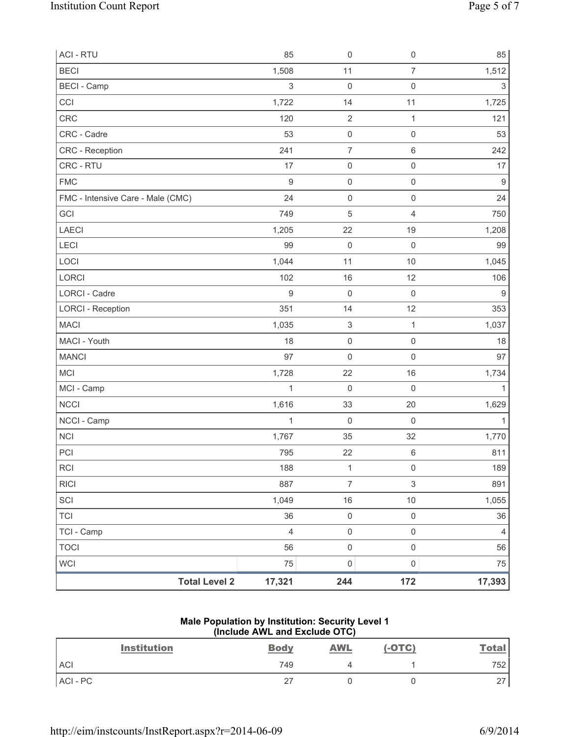| <b>Total Level 2</b>              | 17,321           | 244                       | 172                 | 17,393         |
|-----------------------------------|------------------|---------------------------|---------------------|----------------|
| <b>WCI</b>                        | 75               | $\mathsf{O}\xspace$       | $\mathsf 0$         | 75             |
| <b>TOCI</b>                       | 56               | $\mathsf{O}\xspace$       | $\mathsf{O}\xspace$ | 56             |
| TCI - Camp                        | $\overline{4}$   | $\mathsf{O}\xspace$       | $\mathsf{O}\xspace$ | $\overline{4}$ |
| <b>TCI</b>                        | 36               | $\mathsf{O}\xspace$       | $\mathsf 0$         | 36             |
| SCI                               | 1,049            | 16                        | 10                  | 1,055          |
| <b>RICI</b>                       | 887              | $\overline{7}$            | 3                   | 891            |
| <b>RCI</b>                        | 188              | 1                         | $\mathsf 0$         | 189            |
| PCI                               | 795              | 22                        | $\,6\,$             | 811            |
| <b>NCI</b>                        | 1,767            | 35                        | 32                  | 1,770          |
| NCCI - Camp                       | $\mathbf{1}$     | $\mathbf 0$               | $\mathbf 0$         | $\mathbf{1}$   |
| <b>NCCI</b>                       | 1,616            | 33                        | $20\,$              | 1,629          |
| MCI - Camp                        | $\mathbf{1}$     | $\mathsf{O}\xspace$       | $\mathsf{O}\xspace$ | 1              |
| <b>MCI</b>                        | 1,728            | 22                        | 16                  | 1,734          |
| <b>MANCI</b>                      | 97               | $\mathbf 0$               | $\mathsf 0$         | 97             |
| MACI - Youth                      | 18               | $\mathsf 0$               | $\mathsf{O}\xspace$ | 18             |
| <b>MACI</b>                       | 1,035            | $\ensuremath{\mathsf{3}}$ | $\mathbf{1}$        | 1,037          |
| <b>LORCI - Reception</b>          | 351              | 14                        | 12                  | 353            |
| <b>LORCI - Cadre</b>              | $\hbox{9}$       | $\mathbf 0$               | $\mathsf 0$         | $9\,$          |
| LORCI                             | 102              | 16                        | 12                  | 106            |
| LOCI                              | 1,044            | 11                        | $10$                | 1,045          |
| <b>LECI</b>                       | 99               | $\mathsf 0$               | $\mathsf 0$         | 99             |
| <b>LAECI</b>                      | 1,205            | 22                        | 19                  | 1,208          |
| GCI                               | 749              | 5                         | $\overline{4}$      | 750            |
| FMC - Intensive Care - Male (CMC) | 24               | $\boldsymbol{0}$          | $\mathsf{O}\xspace$ | 24             |
| <b>FMC</b>                        | $\boldsymbol{9}$ | $\mathsf{O}\xspace$       | $\mathsf{O}\xspace$ | $9\,$          |
| CRC - RTU                         | 17               | $\mathsf{O}\xspace$       | $\mathsf{O}\xspace$ | 17             |
| CRC - Reception                   | 241              | $\overline{7}$            | $\,6\,$             | 242            |
| CRC - Cadre                       | 53               | $\mathsf 0$               | $\mathsf{O}\xspace$ | 53             |
| CRC                               | 120              | $\sqrt{2}$                | 1                   | 121            |
| CCI                               | 1,722            | 14                        | 11                  | 1,725          |
| <b>BECI</b> - Camp                | $\sqrt{3}$       | $\mathbf 0$               | $\mathsf 0$         | 3              |
| <b>BECI</b>                       | 1,508            | 11                        | $\overline{7}$      | 1,512          |
| <b>ACI - RTU</b>                  | 85               | $\mathsf{O}\xspace$       | $\mathbf 0$         | 85             |

### **Male Population by Institution: Security Level 1 (Include AWL and Exclude OTC)**

| <b>Institution</b> | <b>Body</b> | <b>AWL</b> | $(-OTC)$ | <b>Total</b> |
|--------------------|-------------|------------|----------|--------------|
| <b>ACI</b>         | 749         |            |          | 752          |
| ACI-PC             | 27          |            |          | 27           |